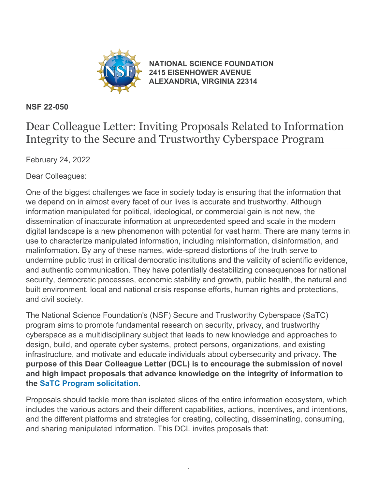

**[NATIONAL SCIENCE FOUNDATION](https://www.nsf.gov/) [2415 EISENHOWER AVENUE](https://www.nsf.gov/) [ALEXANDRIA, VIRGINIA 22314](https://www.nsf.gov/)**

## **NSF 22-050**

## Dear Colleague Letter: Inviting Proposals Related to Information Integrity to the Secure and Trustworthy Cyberspace Program

February 24, 2022

Dear Colleagues:

One of the biggest challenges we face in society today is ensuring that the information that we depend on in almost every facet of our lives is accurate and trustworthy. Although information manipulated for political, ideological, or commercial gain is not new, the dissemination of inaccurate information at unprecedented speed and scale in the modern digital landscape is a new phenomenon with potential for vast harm. There are many terms in use to characterize manipulated information, including misinformation, disinformation, and malinformation. By any of these names, wide-spread distortions of the truth serve to undermine public trust in critical democratic institutions and the validity of scientific evidence, and authentic communication. They have potentially destabilizing consequences for national security, democratic processes, economic stability and growth, public health, the natural and built environment, local and national crisis response efforts, human rights and protections, and civil society.

The National Science Foundation's (NSF) Secure and Trustworthy Cyberspace (SaTC) program aims to promote fundamental research on security, privacy, and trustworthy cyberspace as a multidisciplinary subject that leads to new knowledge and approaches to design, build, and operate cyber systems, protect persons, organizations, and existing infrastructure, and motivate and educate individuals about cybersecurity and privacy. **The purpose of this Dear Colleague Letter (DCL) is to encourage the submission of novel and high impact proposals that advance knowledge on the integrity of information to the [SaTC Program solicitation](https://www.nsf.gov/publications/pub_summ.jsp?ods_key=nsf22517).**

Proposals should tackle more than isolated slices of the entire information ecosystem, which includes the various actors and their different capabilities, actions, incentives, and intentions, and the different platforms and strategies for creating, collecting, disseminating, consuming, and sharing manipulated information. This DCL invites proposals that: